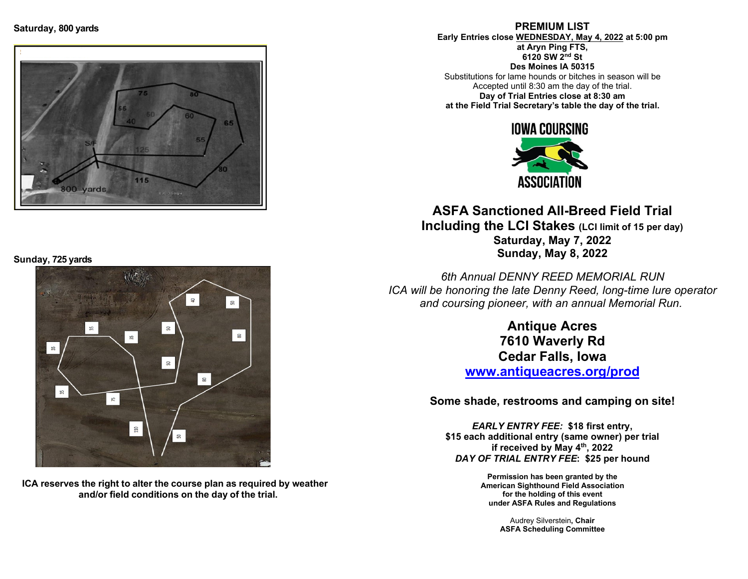

Sunday, 725 yards



ICA reserves the right to alter the course plan as required by weather and/or field conditions on the day of the trial.

PREMIUM LIST Early Entries close WEDNESDAY, May 4, 2022 at 5:00 pm

at Aryn Ping FTS, 6120 SW 2nd St Des Moines IA 50315

Substitutions for lame hounds or bitches in season will be Accepted until 8:30 am the day of the trial. Day of Trial Entries close at 8:30 am at the Field Trial Secretary's table the day of the trial.



ASFA Sanctioned All-Breed Field Trial Including the LCI Stakes (LCI limit of 15 per day) Saturday, May 7, 2022 Sunday, May 8, 2022

6th Annual DENNY REED MEMORIAL RUN ICA will be honoring the late Denny Reed, long-time lure operator and coursing pioneer, with an annual Memorial Run.

> Antique Acres 7610 Waverly Rd Cedar Falls, Iowa

www.antiqueacres.org/prod

Some shade, restrooms and camping on site!

EARLY ENTRY FEE: \$18 first entry, \$15 each additional entry (same owner) per trial if received by May 4th, 2022 DAY OF TRIAL ENTRY FEE: \$25 per hound

> Permission has been granted by the American Sighthound Field Association for the holding of this event under ASFA Rules and Regulations

> > Audrey Silverstein, Chair ASFA Scheduling Committee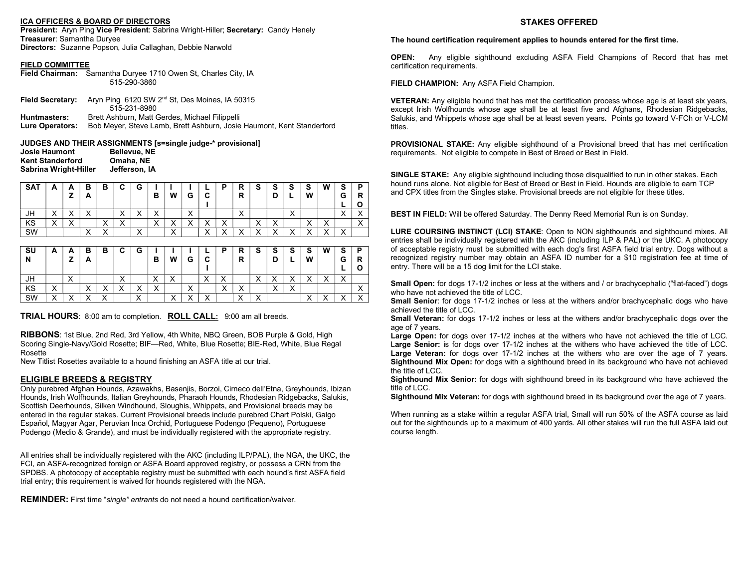#### ICA OFFICERS & BOARD OF DIRECTORS

President: Aryn Ping Vice President: Sabrina Wright-Hiller; Secretary: Candy Henely Treasurer: Samantha Duryee Directors: Suzanne Popson, Julia Callaghan, Debbie Narwold

#### FIELD COMMITTEE

| Field Chairman: Samantha Duryee 1710 Owen St, Charles City, IA |
|----------------------------------------------------------------|
| 515-290-3860                                                   |

|                        | Field Secretary: Aryn Ping 6120 SW 2 <sup>nd</sup> St, Des Moines, IA 50315<br>515-231-8980 |
|------------------------|---------------------------------------------------------------------------------------------|
|                        |                                                                                             |
| Huntmasters:           | Brett Ashburn, Matt Gerdes, Michael Filippelli                                              |
| <b>Lure Operators:</b> | Bob Meyer, Steve Lamb, Brett Ashburn, Josie Haumont, Kent Standerford                       |

JUDGES AND THEIR ASSIGNMENTS [s=single judge-\* provisional] Josie Haumont Bellevue, NE<br>Kent Standerford Omaha, NE **Kent Standerford** Sabrina Wright-Hiller Jefferson, IA

| <b>SAT</b> | <u>r</u>               |              | В<br>A                                | в                      | С                      | G                      | в                         | W                                   | G                      | ◠<br>ື                 | D                         | D<br>R<br>R               | c             | ີ<br>ə<br>D          | s                                     | s<br>W                    | W                 | e<br>o<br>G          | п<br>r |
|------------|------------------------|--------------|---------------------------------------|------------------------|------------------------|------------------------|---------------------------|-------------------------------------|------------------------|------------------------|---------------------------|---------------------------|---------------|----------------------|---------------------------------------|---------------------------|-------------------|----------------------|--------|
| JH         | $\lambda$<br>$\lambda$ | $\cdot$<br>, | $\lambda$<br>$\lambda$                |                        | $\lambda$<br>$\lambda$ | $\lambda$<br>$\lambda$ | $\checkmark$<br>$\lambda$ |                                     | $\lambda$<br>$\lambda$ |                        |                           | $\lambda$<br>⌒            |               |                      | $\lambda$<br>$\lambda$                |                           |                   | $\cdot$<br>$\lambda$ |        |
| KS         | $\lambda$<br>$\lambda$ |              |                                       | $\lambda$<br>$\lambda$ | $\checkmark$<br>⌒      |                        | $\lambda$<br>$\lambda$    | $\cdot$<br>$\overline{\phantom{a}}$ | $\lambda$<br>,,        | $\cdot$<br>$\lambda$   | $\checkmark$<br>⌒         |                           | $\cdot$<br>,, | $\cdot$<br>$\lambda$ |                                       | $\lambda$<br>$\lambda$    | $\lambda$<br>↗    |                      |        |
| SW         |                        |              | $\lambda$<br>$\overline{\phantom{a}}$ | $\lambda$              |                        | $\checkmark$<br>↗      |                           | $\lambda$<br>↗                      |                        | $\lambda$<br>$\lambda$ | $\checkmark$<br>$\lambda$ | $\checkmark$<br>$\lambda$ | $\lambda$     | $\lambda$            | $\lambda$<br>$\overline{\phantom{a}}$ | $\checkmark$<br>$\lambda$ | $\checkmark$<br>, | $\checkmark$<br>⌒    |        |

| SU<br>N | A              | -            | в<br>A                 | в                                   | C                 | G                         | в       | W            | G                    | ◠<br>v                                | D                 | R<br>R               | S                    | c<br>ə<br>ц                   | S                         | S<br>W                                | W                  | S<br>G                    | D<br>R  |
|---------|----------------|--------------|------------------------|-------------------------------------|-------------------|---------------------------|---------|--------------|----------------------|---------------------------------------|-------------------|----------------------|----------------------|-------------------------------|---------------------------|---------------------------------------|--------------------|---------------------------|---------|
| JH      |                | $\cdot$<br>↗ |                        |                                     | $\checkmark$<br>⌒ |                           |         | $\cdot$<br>, |                      | $\checkmark$<br>$\lambda$             | v<br>$\lambda$    |                      | $\cdot$<br>$\lambda$ |                               | $\checkmark$<br>$\lambda$ | $\lambda$<br>$\overline{\phantom{a}}$ | $\checkmark$<br>,, | $\checkmark$<br>$\lambda$ |         |
| KS      | ິ<br>$\lambda$ |              | $\lambda$<br>$\lambda$ | $\cdot$<br>$\overline{\phantom{a}}$ | v<br>↗            | $\checkmark$<br>$\lambda$ | $\cdot$ |              | $\cdot$<br>$\lambda$ |                                       | $\checkmark$<br>↗ | $\cdot$<br>$\lambda$ |                      | $\overline{\phantom{a}}$<br>, | $\checkmark$<br>⌒         |                                       |                    |                           |         |
| SW      | $\lambda$      | $\cdot$      | $\lambda$              | $\lambda$                           |                   | $\checkmark$<br>⌒         |         | $\lambda$    | $\lambda$            | $\lambda$<br>$\overline{\phantom{a}}$ |                   | $\sqrt{}$            | $\lambda$            |                               |                           | $\lambda$<br>$\lambda$                | $\lambda$          | $\cdot$                   | $\cdot$ |

TRIAL HOURS: 8:00 am to completion. ROLL CALL: 9:00 am all breeds.

RIBBONS: 1st Blue, 2nd Red, 3rd Yellow, 4th White, NBQ Green, BOB Purple & Gold, High Scoring Single-Navy/Gold Rosette; BIF—Red, White, Blue Rosette; BIE-Red, White, Blue Regal Rosette

New Titlist Rosettes available to a hound finishing an ASFA title at our trial.

#### ELIGIBLE BREEDS & REGISTRY

Only purebred Afghan Hounds, Azawakhs, Basenjis, Borzoi, Cirneco dell'Etna, Greyhounds, Ibizan Hounds, Irish Wolfhounds, Italian Greyhounds, Pharaoh Hounds, Rhodesian Ridgebacks, Salukis, Scottish Deerhounds, Silken Windhound, Sloughis, Whippets, and Provisional breeds may be entered in the regular stakes. Current Provisional breeds include purebred Chart Polski, Galgo Español, Magyar Agar, Peruvian Inca Orchid, Portuguese Podengo (Pequeno), Portuguese Podengo (Medio & Grande), and must be individually registered with the appropriate registry.

All entries shall be individually registered with the AKC (including ILP/PAL), the NGA, the UKC, the FCI, an ASFA-recognized foreign or ASFA Board approved registry, or possess a CRN from the SPDBS. A photocopy of acceptable registry must be submitted with each hound's first ASFA field trial entry; this requirement is waived for hounds registered with the NGA.

REMINDER: First time "single" entrants do not need a hound certification/waiver.

#### STAKES OFFERED

#### The hound certification requirement applies to hounds entered for the first time.

OPEN: Any eligible sighthound excluding ASFA Field Champions of Record that has met certification requirements.

FIELD CHAMPION: Any ASFA Field Champion.

**VETERAN:** Any eligible hound that has met the certification process whose age is at least six years, except Irish Wolfhounds whose age shall be at least five and Afghans, Rhodesian Ridgebacks, Salukis, and Whippets whose age shall be at least seven years. Points go toward V-FCh or V-LCM titles.

**PROVISIONAL STAKE:** Any eligible sighthound of a Provisional breed that has met certification requirements. Not eligible to compete in Best of Breed or Best in Field.

**SINGLE STAKE:** Any eligible sighthound including those disqualified to run in other stakes. Each hound runs alone. Not eligible for Best of Breed or Best in Field. Hounds are eligible to earn TCP and CPX titles from the Singles stake. Provisional breeds are not eligible for these titles.

BEST IN FIELD: Will be offered Saturday. The Denny Reed Memorial Run is on Sunday.

LURE COURSING INSTINCT (LCI) STAKE: Open to NON sighthounds and sighthound mixes. All entries shall be individually registered with the AKC (including ILP & PAL) or the UKC. A photocopy of acceptable registry must be submitted with each dog's first ASFA field trial entry. Dogs without a recognized registry number may obtain an ASFA ID number for a \$10 registration fee at time of entry. There will be a 15 dog limit for the LCI stake.

Small Open: for dogs 17-1/2 inches or less at the withers and / or brachycephalic ("flat-faced") dogs who have not achieved the title of LCC.

Small Senior: for dogs 17-1/2 inches or less at the withers and/or brachycephalic dogs who have achieved the title of LCC.

Small Veteran: for dogs 17-1/2 inches or less at the withers and/or brachycephalic dogs over the age of 7 years.

Large Open: for dogs over 17-1/2 inches at the withers who have not achieved the title of LCC. Large Senior: is for dogs over 17-1/2 inches at the withers who have achieved the title of LCC. Large Veteran: for dogs over 17-1/2 inches at the withers who are over the age of 7 years. Sighthound Mix Open: for dogs with a sighthound breed in its background who have not achieved the title of LCC.

Sighthound Mix Senior: for dogs with sighthound breed in its background who have achieved the title of LCC.

Sighthound Mix Veteran: for dogs with sighthound breed in its background over the age of 7 years.

When running as a stake within a regular ASFA trial, Small will run 50% of the ASFA course as laid out for the sighthounds up to a maximum of 400 yards. All other stakes will run the full ASFA laid out course length.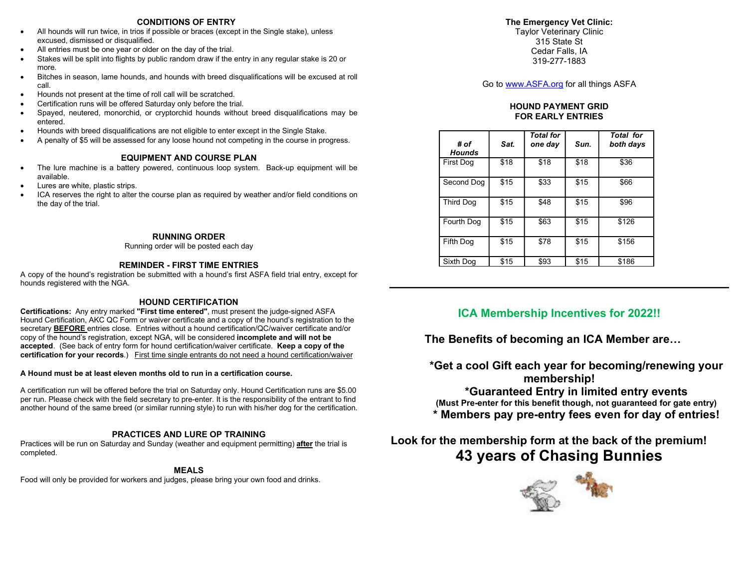### CONDITIONS OF ENTRY

- All hounds will run twice, in trios if possible or braces (except in the Single stake), unless excused, dismissed or disqualified.
- All entries must be one year or older on the day of the trial.
- Stakes will be split into flights by public random draw if the entry in any regular stake is 20 or more.
- Bitches in season, lame hounds, and hounds with breed disqualifications will be excused at roll call.
- Hounds not present at the time of roll call will be scratched.
- Certification runs will be offered Saturday only before the trial.
- Spayed, neutered, monorchid, or cryptorchid hounds without breed disqualifications may be entered.
- Hounds with breed disqualifications are not eligible to enter except in the Single Stake.
- A penalty of \$5 will be assessed for any loose hound not competing in the course in progress.

### EQUIPMENT AND COURSE PLAN

- The lure machine is a battery powered, continuous loop system. Back-up equipment will be available.
- Lures are white, plastic strips.
- ICA reserves the right to alter the course plan as required by weather and/or field conditions on the day of the trial.

### RUNNING ORDER

Running order will be posted each day

### REMINDER - FIRST TIME ENTRIES

A copy of the hound's registration be submitted with a hound's first ASFA field trial entry, except for hounds registered with the NGA.

### HOUND CERTIFICATION

Certifications: Any entry marked "First time entered", must present the judge-signed ASFA Hound Certification, AKC QC Form or waiver certificate and a copy of the hound's registration to the secretary **BEFORE** entries close. Entries without a hound certification/QC/waiver certificate and/or copy of the hound's registration, except NGA, will be considered incomplete and will not be accepted. (See back of entry form for hound certification/waiver certificate. Keep a copy of the certification for your records.) First time single entrants do not need a hound certification/waiver

### A Hound must be at least eleven months old to run in a certification course.

A certification run will be offered before the trial on Saturday only. Hound Certification runs are \$5.00 per run. Please check with the field secretary to pre-enter. It is the responsibility of the entrant to find another hound of the same breed (or similar running style) to run with his/her dog for the certification.

### PRACTICES AND LURE OP TRAINING

Practices will be run on Saturday and Sunday (weather and equipment permitting) after the trial is completed.

### MEALS

Food will only be provided for workers and judges, please bring your own food and drinks.

### The Emergency Vet Clinic:

Taylor Veterinary Clinic 315 State St Cedar Falls, IA 319-277-1883

Go to www.ASFA.org for all things ASFA

### HOUND PAYMENT GRID FOR EARLY ENTRIES

| # of<br><b>Hounds</b> | Sat. | <b>Total for</b><br>one day | Sun. | <b>Total for</b><br>both days |
|-----------------------|------|-----------------------------|------|-------------------------------|
| First Dog             | \$18 | \$18                        | \$18 | \$36                          |
| Second Dog            | \$15 | \$33                        | \$15 | \$66                          |
| <b>Third Dog</b>      | \$15 | \$48                        | \$15 | \$96                          |
| Fourth Dog            | \$15 | \$63                        | \$15 | \$126                         |
| Fifth Dog             | \$15 | \$78                        | \$15 | \$156                         |
| Sixth Dog             | \$15 | \$93                        | \$15 | \$186                         |

## ICA Membership Incentives for 2022!!

The Benefits of becoming an ICA Member are…

\*Get a cool Gift each year for becoming/renewing your membership!

\*Guaranteed Entry in limited entry events (Must Pre-enter for this benefit though, not guaranteed for gate entry) \* Members pay pre-entry fees even for day of entries!

# Look for the membership form at the back of the premium! 43 years of Chasing Bunnies

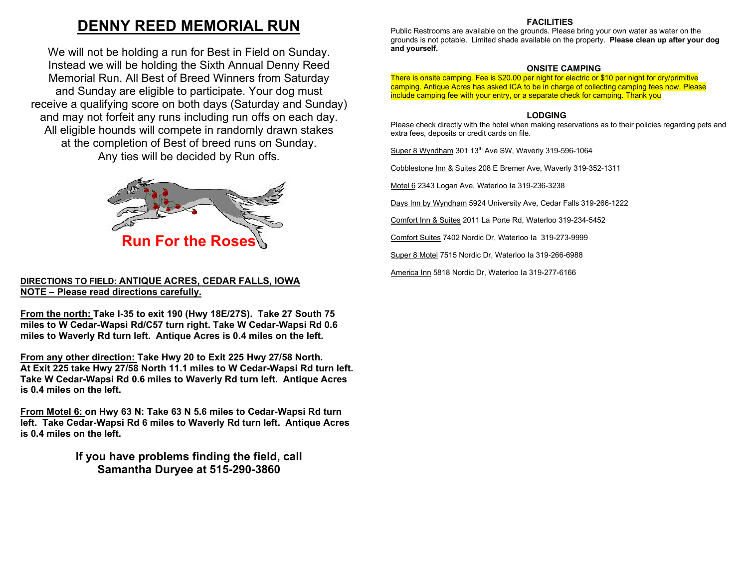# DENNY REED MEMORIAL RUN

We will not be holding a run for Best in Field on Sunday. Instead we will be holding the Sixth Annual Denny Reed Memorial Run. All Best of Breed Winners from Saturday and Sunday are eligible to participate. Your dog must receive a qualifying score on both days (Saturday and Sunday) and may not forfeit any runs including run offs on each day. All eligible hounds will compete in randomly drawn stakes at the completion of Best of breed runs on Sunday. Any ties will be decided by Run offs.



### DIRECTIONS TO FIELD: ANTIQUE ACRES, CEDAR FALLS, IOWA NOTE – Please read directions carefully.

From the north: Take I-35 to exit 190 (Hwy 18E/27S). Take 27 South 75 miles to W Cedar-Wapsi Rd/C57 turn right. Take W Cedar-Wapsi Rd 0.6 miles to Waverly Rd turn left. Antique Acres is 0.4 miles on the left.

From any other direction: Take Hwy 20 to Exit 225 Hwy 27/58 North. At Exit 225 take Hwy 27/58 North 11.1 miles to W Cedar-Wapsi Rd turn left. Take W Cedar-Wapsi Rd 0.6 miles to Waverly Rd turn left. Antique Acres is 0.4 miles on the left.

From Motel 6: on Hwy 63 N: Take 63 N 5.6 miles to Cedar-Wapsi Rd turn left. Take Cedar-Wapsi Rd 6 miles to Waverly Rd turn left. Antique Acres is 0.4 miles on the left.

> If you have problems finding the field, call Samantha Duryee at 515-290-3860

### **FACILITIES**

Public Restrooms are available on the grounds. Please bring your own water as water on the grounds is not potable. Limited shade available on the property. Please clean up after your dog and yourself.

### ONSITE CAMPING

There is onsite camping. Fee is \$20.00 per night for electric or \$10 per night for dry/primitive camping. Antique Acres has asked ICA to be in charge of collecting camping fees now. Please include camping fee with your entry, or a separate check for camping. Thank you

### LODGING

Please check directly with the hotel when making reservations as to their policies regarding pets and extra fees, deposits or credit cards on file.

Super 8 Wyndham 301 13th Ave SW, Waverly 319-596-1064

Cobblestone Inn & Suites 208 E Bremer Ave, Waverly 319-352-1311

Motel 6 2343 Logan Ave, Waterloo Ia 319-236-3238

Days Inn by Wyndham 5924 University Ave, Cedar Falls 319-266-1222

Comfort Inn & Suites 2011 La Porte Rd, Waterloo 319-234-5452

Comfort Suites 7402 Nordic Dr, Waterloo Ia 319-273-9999

Super 8 Motel 7515 Nordic Dr, Waterloo Ia 319-266-6988

America Inn 5818 Nordic Dr, Waterloo Ia 319-277-6166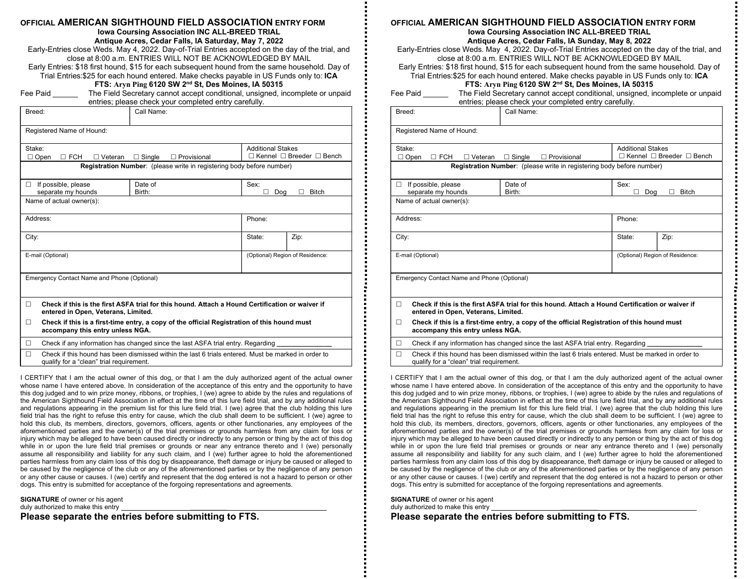| OFFICIAL AMERICAN SIGHTHOUND FIELD ASSOCIATION ENTRY FORM |  |
|-----------------------------------------------------------|--|
|-----------------------------------------------------------|--|

Iowa Coursing Association INC ALL-BREED TRIAL

Antique Acres, Cedar Falls, IA Saturday, May 7, 2022

Early-Entries close Weds. May 4, 2022. Day-of-Trial Entries accepted on the day of the trial, and close at 8:00 a.m. ENTRIES WILL NOT BE ACKNOWLEDGED BY MAIL Early Entries: \$18 first hound, \$15 for each subsequent hound from the same household. Day of

| Trial Entries:\$25 for each hound entered. Make checks payable in US Funds only to: ICA |
|-----------------------------------------------------------------------------------------|
| FTS: Aryn Ping 6120 SW 2 <sup>nd</sup> St, Des Moines, IA 50315                         |

Fee Paid **The Field Secretary cannot accept conditional, unsigned, incomplete or unpaid** entries; please check your completed entry carefully.

| Breed:                                                                                                                                      | Call Name:                          |                                 |                                           |  |  |  |  |
|---------------------------------------------------------------------------------------------------------------------------------------------|-------------------------------------|---------------------------------|-------------------------------------------|--|--|--|--|
| Registered Name of Hound:                                                                                                                   |                                     |                                 |                                           |  |  |  |  |
| Stake:<br>$\Box$ Open<br><b>FCH</b><br>$\Box$ Veteran<br>П                                                                                  | $\Box$ Single<br>$\Box$ Provisional | <b>Additional Stakes</b>        | $\Box$ Kennel $\Box$ Breeder $\Box$ Bench |  |  |  |  |
| Registration Number: (please write in registering body before number)                                                                       |                                     |                                 |                                           |  |  |  |  |
| If possible, please<br>п<br>separate my hounds                                                                                              | Date of<br>Birth:                   | Sex:<br>Dog<br>ш                | <b>Bitch</b>                              |  |  |  |  |
| Name of actual owner(s):                                                                                                                    |                                     |                                 |                                           |  |  |  |  |
| Address:                                                                                                                                    |                                     | Phone:                          |                                           |  |  |  |  |
| City:                                                                                                                                       |                                     | State:                          | Zip:                                      |  |  |  |  |
| E-mail (Optional)                                                                                                                           |                                     | (Optional) Region of Residence: |                                           |  |  |  |  |
| Emergency Contact Name and Phone (Optional)                                                                                                 |                                     |                                 |                                           |  |  |  |  |
| Check if this is the first ASFA trial for this hound. Attach a Hound Certification or waiver if<br>п<br>entered in Open, Veterans, Limited. |                                     |                                 |                                           |  |  |  |  |
| Check if this is a first-time entry, a copy of the official Registration of this hound must<br>п                                            |                                     |                                 |                                           |  |  |  |  |

accompany this entry unless NGA.

 $\Box$  Check if any information has changed since the last ASFA trial entry. Regarding

 $\Box$  Check if this hound has been dismissed within the last 6 trials entered. Must be marked in order to qualify for a "clean" trial requirement.

I CERTIFY that I am the actual owner of this dog, or that I am the duly authorized agent of the actual owner whose name I have entered above. In consideration of the acceptance of this entry and the opportunity to have this dog judged and to win prize money, ribbons, or trophies, I (we) agree to abide by the rules and regulations of the American Sighthound Field Association in effect at the time of this lure field trial, and by any additional rules and regulations appearing in the premium list for this lure field trial. I (we) agree that the club holding this lure field trial has the right to refuse this entry for cause, which the club shall deem to be sufficient. I (we) agree to hold this club, its members, directors, governors, officers, agents or other functionaries, any employees of the aforementioned parties and the owner(s) of the trial premises or grounds harmless from any claim for loss or injury which may be alleged to have been caused directly or indirectly to any person or thing by the act of this dog while in or upon the lure field trial premises or grounds or near any entrance thereto and I (we) personally assume all responsibility and liability for any such claim, and I (we) further agree to hold the aforementioned parties harmless from any claim loss of this dog by disappearance, theft damage or injury be caused or alleged to be caused by the negligence of the club or any of the aforementioned parties or by the negligence of any person or any other cause or causes. I (we) certify and represent that the dog entered is not a hazard to person or other dogs. This entry is submitted for acceptance of the forgoing representations and agreements.

SIGNATURE of owner or his agent duly authorized to make this entry

Please separate the entries before submitting to FTS.

### OFFICIAL AMERICAN SIGHTHOUND FIELD ASSOCIATION ENTRY FORM

#### Iowa Coursing Association INC ALL-BREED TRIAL Antique Acres, Cedar Falls, IA Sunday, May 8, 2022

Early-Entries close Weds. May 4, 2022. Day-of-Trial Entries accepted on the day of the trial, and close at 8:00 a.m. ENTRIES WILL NOT BE ACKNOWLEDGED BY MAIL

Early Entries: \$18 first hound, \$15 for each subsequent hound from the same household. Day of

Trial Entries:\$25 for each hound entered. Make checks payable in US Funds only to: ICA FTS: Aryn Ping 6120 SW 2nd St, Des Moines, IA 50315

| Fee Paid | The Field Secretary cannot accept conditional, unsigned, incomplete or unpaid |
|----------|-------------------------------------------------------------------------------|
|          | entries: please check your completed entry carefully                          |

|                                                | entries; please check your completed entry carefully.                                           |                          |                                           |
|------------------------------------------------|-------------------------------------------------------------------------------------------------|--------------------------|-------------------------------------------|
| Breed:                                         | Call Name:                                                                                      |                          |                                           |
|                                                |                                                                                                 |                          |                                           |
| Registered Name of Hound:                      |                                                                                                 |                          |                                           |
| Stake:                                         |                                                                                                 | <b>Additional Stakes</b> |                                           |
| $\square$ FCH<br>$\Box$ Open<br>$\Box$ Veteran | $\Box$ Single<br>$\Box$ Provisional                                                             |                          | $\Box$ Kennel $\Box$ Breeder $\Box$ Bench |
|                                                | <b>Registration Number:</b> (please write in registering body before number)                    |                          |                                           |
| If possible, please<br>П                       | Date of                                                                                         | Sex:                     |                                           |
| separate my hounds                             | Birth:                                                                                          | Dog                      | Bitch                                     |
| Name of actual owner(s):                       |                                                                                                 |                          |                                           |
| Address:                                       |                                                                                                 | Phone:                   |                                           |
| City:                                          |                                                                                                 | State:                   | Zip:                                      |
| E-mail (Optional)                              |                                                                                                 |                          | (Optional) Region of Residence:           |
| Emergency Contact Name and Phone (Optional)    |                                                                                                 |                          |                                           |
| $\Box$<br>entered in Open, Veterans, Limited.  | Check if this is the first ASFA trial for this hound. Attach a Hound Certification or waiver if |                          |                                           |
| n.                                             | Chack if this is a first-time entry a cony of the official Penistration of this hound must      |                          |                                           |

- If this is a first-time entry, a copy of the official Registration of this hound  $\mathbf m$ accompany this entry unless NGA.
- $\Box$  Check if any information has changed since the last ASFA trial entry. Regarding

 $\Box$  Check if this hound has been dismissed within the last 6 trials entered. Must be marked in order to qualify for a "clean" trial requirement.

I CERTIFY that I am the actual owner of this dog, or that I am the duly authorized agent of the actual owner whose name I have entered above. In consideration of the acceptance of this entry and the opportunity to have this dog judged and to win prize money, ribbons, or trophies, I (we) agree to abide by the rules and regulations of the American Sighthound Field Association in effect at the time of this lure field trial, and by any additional rules and regulations appearing in the premium list for this lure field trial. I (we) agree that the club holding this lure field trial has the right to refuse this entry for cause, which the club shall deem to be sufficient. I (we) agree to hold this club, its members, directors, governors, officers, agents or other functionaries, any employees of the aforementioned parties and the owner(s) of the trial premises or grounds harmless from any claim for loss or injury which may be alleged to have been caused directly or indirectly to any person or thing by the act of this dog while in or upon the lure field trial premises or grounds or near any entrance thereto and I (we) personally assume all responsibility and liability for any such claim, and I (we) further agree to hold the aforementioned parties harmless from any claim loss of this dog by disappearance, theft damage or injury be caused or alleged to be caused by the negligence of the club or any of the aforementioned parties or by the negligence of any person or any other cause or causes. I (we) certify and represent that the dog entered is not a hazard to person or other dogs. This entry is submitted for acceptance of the forgoing representations and agreements.

SIGNATURE of owner or his agent duly authorized to make this entry Please separate the entries before submitting to FTS.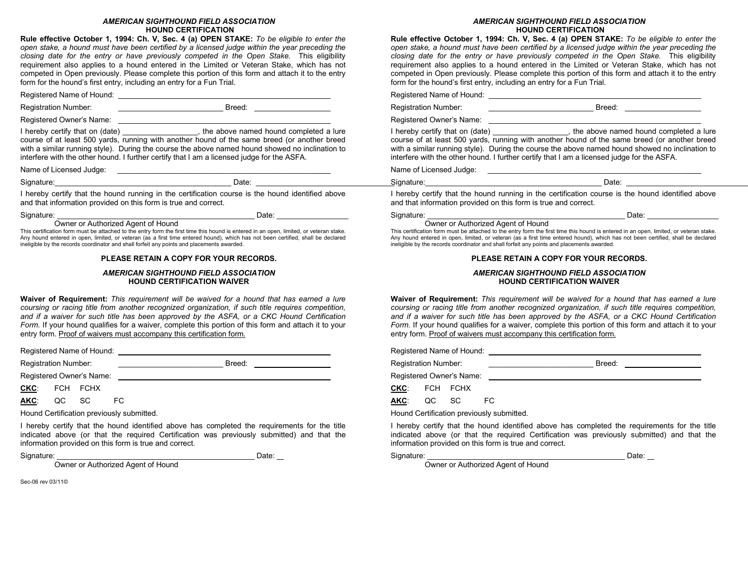#### AMERICAN SIGHTHOUND FIELD ASSOCIATION HOUND CERTIFICATION

Rule effective October 1, 1994: Ch. V, Sec. 4 (a) OPEN STAKE: To be eligible to enter the open stake, a hound must have been certified by a licensed judge within the year preceding the closing date for the entry or have previously competed in the Open Stake. This eligibility requirement also applies to a hound entered in the Limited or Veteran Stake, which has not competed in Open previously. Please complete this portion of this form and attach it to the entry form for the hound's first entry, including an entry for a Fun Trial.

Registered Name of Hound:

Registration Number: <br>
Registration Number:

Registered Owner's Name: 2008

I hereby certify that on (date) \_\_\_\_\_\_\_\_\_\_\_\_\_\_\_\_\_\_, the above named hound completed a lure course of at least 500 yards, running with another hound of the same breed (or another breed with a similar running style). During the course the above named hound showed no inclination to interfere with the other hound. I further certify that I am a licensed judge for the ASFA.

Name of Licensed Judge: \_\_\_\_\_\_\_\_\_\_\_\_\_\_\_\_\_\_\_\_\_\_\_\_\_\_\_\_\_\_\_\_\_\_\_\_\_\_\_\_\_\_\_\_\_\_\_

Signature: Date: \_

I hereby certify that the hound running in the certification course is the hound identified above and that information provided on this form is true and correct.

#### Signature: \_\_\_\_\_\_\_\_\_\_\_\_\_\_\_\_\_\_\_\_\_\_\_\_\_\_\_\_\_\_\_\_\_\_\_\_\_\_\_\_\_\_\_\_\_\_\_ Date: \_\_\_\_\_\_\_\_\_\_\_\_\_\_\_\_\_

#### Owner or Authorized Agent of Hound

This certification form must be attached to the entry form the first time this hound is entered in an open, limited, or veteran stake. Any hound entered in open, limited, or veteran (as a first time entered hound), which has not been certified, shall be declared ineligible by the records coordinator and shall forfeit any points and placements awarded.

#### PLEASE RETAIN A COPY FOR YOUR RECORDS.

#### AMERICAN SIGHTHOUND FIELD ASSOCIATION HOUND CERTIFICATION WAIVER

Waiver of Requirement: This requirement will be waived for a hound that has earned a lure coursing or racing title from another recognized organization, if such title requires competition, and if a waiver for such title has been approved by the ASFA, or a CKC Hound Certification Form. If your hound qualifies for a waiver, complete this portion of this form and attach it to your entry form. Proof of waivers must accompany this certification form.

Registered Name of Hound:

Registration Number: \_\_\_\_\_\_\_\_\_\_\_\_\_\_\_\_\_\_\_\_\_\_\_\_\_ Breed:

Registered Owner's Name:

CKC: FCH FCHX

AKC: QC SC FC

Hound Certification previously submitted.

I hereby certify that the hound identified above has completed the requirements for the title indicated above (or that the required Certification was previously submitted) and that the information provided on this form is true and correct.

Signature: \_\_\_\_\_\_\_\_\_\_\_\_\_\_\_\_\_\_\_\_\_\_\_\_\_\_\_\_\_\_\_\_\_\_\_\_\_\_\_\_\_\_\_\_\_\_\_ Date:

Owner or Authorized Agent of Hound

Sec-06 rev 03/11©

#### AMERICAN SIGHTHOUND FIELD ASSOCIATION HOUND CERTIFICATION

Rule effective October 1, 1994: Ch. V, Sec. 4 (a) OPEN STAKE: To be eligible to enter the

open stake, a hound must have been certified by a licensed judge within the year preceding the closing date for the entry or have previously competed in the Open Stake. This eligibility requirement also applies to a hound entered in the Limited or Veteran Stake, which has not competed in Open previously. Please complete this portion of this form and attach it to the entry form for the hound's first entry, including an entry for a Fun Trial. Registered Name of Hound: Registration Number: <br>
Registration Number: Registered Owner's Name: **Cambridge Control** I hereby certify that on (date) \_\_\_\_\_\_\_\_\_\_\_\_\_\_\_, the above named hound completed a lure

course of at least 500 yards, running with another hound of the same breed (or another breed with a similar running style). During the course the above named hound showed no inclination to interfere with the other hound. I further certify that I am a licensed judge for the ASFA.

Name of Licensed Judge: \_\_\_\_\_\_\_\_\_\_\_\_\_\_\_\_\_\_\_\_\_\_\_\_\_\_\_\_\_\_\_\_\_\_\_\_\_\_\_\_\_\_\_\_\_\_\_



I hereby certify that the hound running in the certification course is the hound identified above and that information provided on this form is true and correct.

#### Signature: \_\_\_\_\_\_\_\_\_\_\_\_\_\_\_\_\_\_\_\_\_\_\_\_\_\_\_\_\_\_\_\_\_\_\_\_\_\_\_\_\_\_\_\_\_\_\_ Date: \_\_\_\_\_\_\_\_\_\_\_\_\_\_\_\_\_

Owner or Authorized Agent of Hound

This certification form must be attached to the entry form the first time this hound is entered in an open, limited, or veteran stake. Any hound entered in open, limited, or veteran (as a first time entered hound), which has not been certified, shall be declared ineligible by the records coordinator and shall forfeit any points and placements awarded.

#### PLEASE RETAIN A COPY FOR YOUR RECORDS.

#### AMERICAN SIGHTHOUND FIELD ASSOCIATION HOUND CERTIFICATION WAIVER

Waiver of Requirement: This requirement will be waived for a hound that has earned a lure coursing or racing title from another recognized organization, if such title requires competition, and if a waiver for such title has been approved by the ASFA, or a CKC Hound Certification Form. If your hound qualifies for a waiver, complete this portion of this form and attach it to your entry form. Proof of waivers must accompany this certification form.

Registered Name of Hound:

Registration Number: \_\_\_\_\_\_\_\_\_\_\_\_\_\_\_\_\_\_\_\_\_\_\_\_\_ Breed:

Registered Owner's Name:

CKC: FCH FCHX

AKC: QC SC FC

Hound Certification previously submitted.

I hereby certify that the hound identified above has completed the requirements for the title indicated above (or that the required Certification was previously submitted) and that the information provided on this form is true and correct.

#### Signature: \_\_\_\_\_\_\_\_\_\_\_\_\_\_\_\_\_\_\_\_\_\_\_\_\_\_\_\_\_\_\_\_\_\_\_\_\_\_\_\_\_\_\_\_\_\_\_ Date:

Owner or Authorized Agent of Hound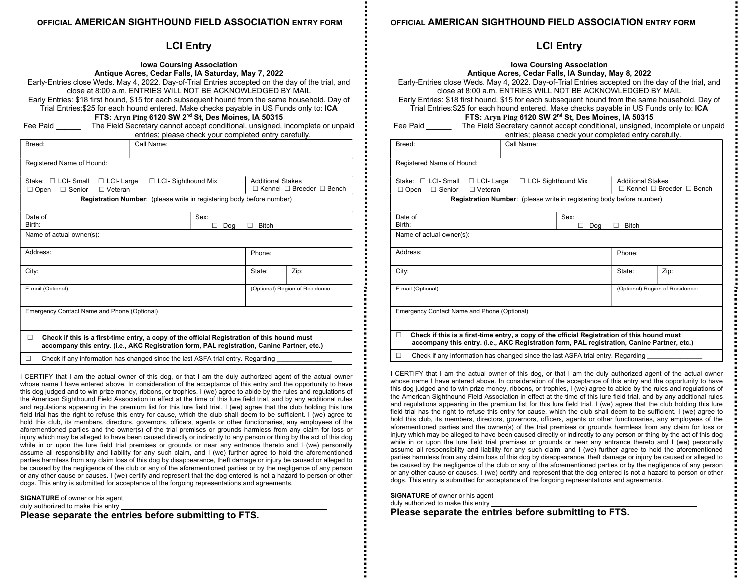### OFFICIAL AMERICAN SIGHTHOUND FIELD ASSOCIATION ENTRY FORM

### LCI Entry

| <b>Iowa Coursing Association</b>                                                                  |
|---------------------------------------------------------------------------------------------------|
| Antique Acres, Cedar Falls, IA Saturday, May 7, 2022                                              |
| Early-Entries close Weds. May 4, 2022. Day-of-Trial Entries accepted on the day of the trial, and |
| close at 8:00 a.m. ENTRIES WILL NOT BE ACKNOWLEDGED BY MAIL                                       |
| Early Entries: \$18 first hound, \$15 for each subsequent hound from the same household. Day of   |
| Trial Entries:\$25 for each hound entered. Make checks payable in US Funds only to: ICA           |

FTS: Aryn Ping 6120 SW 2nd St, Des Moines, IA 50315

Fee Paid **The Field Secretary cannot accept conditional, unsigned, incomplete or unpaid** entries; please check your completed entry carefully.

| Breed:                                                                                                                                                                                                | Call Name:                                                                      |     |                                 |      |  |  |
|-------------------------------------------------------------------------------------------------------------------------------------------------------------------------------------------------------|---------------------------------------------------------------------------------|-----|---------------------------------|------|--|--|
| Registered Name of Hound:                                                                                                                                                                             |                                                                                 |     |                                 |      |  |  |
| Stake: $\Box$ LCI- Small<br>$\Box$ LCI-Large<br>$\Box$ LCI- Sighthound Mix<br><b>Additional Stakes</b><br>$\Box$ Kennel $\Box$ Breeder $\Box$ Bench<br>$\Box$ Senior<br>$\Box$ Veteran<br>$\Box$ Open |                                                                                 |     |                                 |      |  |  |
|                                                                                                                                                                                                       | <b>Registration Number:</b> (please write in registering body before number)    |     |                                 |      |  |  |
| Date of<br>Birth:                                                                                                                                                                                     | Sex:                                                                            | Doa | <b>Bitch</b>                    |      |  |  |
| Name of actual owner(s):                                                                                                                                                                              |                                                                                 |     |                                 |      |  |  |
| Address:                                                                                                                                                                                              |                                                                                 |     | Phone:                          |      |  |  |
| City:                                                                                                                                                                                                 |                                                                                 |     | State:                          | Zip: |  |  |
| E-mail (Optional)                                                                                                                                                                                     |                                                                                 |     | (Optional) Region of Residence: |      |  |  |
| Emergency Contact Name and Phone (Optional)                                                                                                                                                           |                                                                                 |     |                                 |      |  |  |
| П<br>Check if this is a first-time entry, a copy of the official Registration of this hound must<br>accompany this entry. (i.e., AKC Registration form, PAL registration, Canine Partner, etc.)       |                                                                                 |     |                                 |      |  |  |
| П                                                                                                                                                                                                     | Check if any information has changed since the last ASFA trial entry. Regarding |     |                                 |      |  |  |

I CERTIFY that I am the actual owner of this dog, or that I am the duly authorized agent of the actual owner whose name I have entered above. In consideration of the acceptance of this entry and the opportunity to have this dog judged and to win prize money, ribbons, or trophies, I (we) agree to abide by the rules and regulations of the American Sighthound Field Association in effect at the time of this lure field trial, and by any additional rules and regulations appearing in the premium list for this lure field trial. I (we) agree that the club holding this lure field trial has the right to refuse this entry for cause, which the club shall deem to be sufficient. I (we) agree to hold this club, its members, directors, governors, officers, agents or other functionaries, any employees of the aforementioned parties and the owner(s) of the trial premises or grounds harmless from any claim for loss or injury which may be alleged to have been caused directly or indirectly to any person or thing by the act of this dog while in or upon the lure field trial premises or grounds or near any entrance thereto and I (we) personally assume all responsibility and liability for any such claim, and I (we) further agree to hold the aforementioned parties harmless from any claim loss of this dog by disappearance, theft damage or injury be caused or alleged to be caused by the negligence of the club or any of the aforementioned parties or by the negligence of any person or any other cause or causes. I (we) certify and represent that the dog entered is not a hazard to person or other dogs. This entry is submitted for acceptance of the forgoing representations and agreements.

SIGNATURE of owner or his agent duly authorized to make this entry

Please separate the entries before submitting to FTS.

### OFFICIAL AMERICAN SIGHTHOUND FIELD ASSOCIATION ENTRY FORM

### LCI Entry

| Early-Entries close Weds. May 4, 2022. Day-of-Trial Entries accepted on the day of the trial, and<br>close at 8:00 a m. ENTRIES WILL NOT BE ACKNOWLEDGED BY MAIL<br>Early Entries: \$18 first hound, \$15 for each subsequent hound from the same household. Day of<br>Trial Entries:\$25 for each hound entered. Make checks payable in US Funds only to: ICA |                                  | <b>Iowa Coursing Association</b><br>Antique Acres, Cedar Falls, IA Sunday, May 8, 2022<br>FTS: Aryn Ping 6120 SW 2nd St, Des Moines, IA 50315 |        |                                 |
|----------------------------------------------------------------------------------------------------------------------------------------------------------------------------------------------------------------------------------------------------------------------------------------------------------------------------------------------------------------|----------------------------------|-----------------------------------------------------------------------------------------------------------------------------------------------|--------|---------------------------------|
| Fee Paid _________ The Field Secretary cannot accept conditional, unsigned, incomplete or unpaid                                                                                                                                                                                                                                                               |                                  | entries; please check your completed entry carefully.                                                                                         |        |                                 |
| Breed:                                                                                                                                                                                                                                                                                                                                                         | Call Name:                       |                                                                                                                                               |        |                                 |
| Registered Name of Hound:                                                                                                                                                                                                                                                                                                                                      |                                  |                                                                                                                                               |        |                                 |
| Stake: $\Box$ LCI-Small<br>$\Box$ LCI-Large<br>$\Box$ LCI- Sighthound Mix<br>□ Open □ Senior<br>$\Box$ Veteran                                                                                                                                                                                                                                                 |                                  | <b>Additional Stakes</b><br>$\Box$ Kennel $\Box$ Breeder $\Box$ Bench                                                                         |        |                                 |
| Registration Number: (please write in registering body before number)                                                                                                                                                                                                                                                                                          |                                  |                                                                                                                                               |        |                                 |
| Date of<br>Birth:                                                                                                                                                                                                                                                                                                                                              | Sex:<br>п<br>Dog<br>$\Box$ Bitch |                                                                                                                                               |        |                                 |
| Name of actual owner(s):                                                                                                                                                                                                                                                                                                                                       |                                  |                                                                                                                                               |        |                                 |
| Address:                                                                                                                                                                                                                                                                                                                                                       |                                  |                                                                                                                                               | Phone: |                                 |
| City:                                                                                                                                                                                                                                                                                                                                                          |                                  |                                                                                                                                               | State: | Zip:                            |
| E-mail (Optional)                                                                                                                                                                                                                                                                                                                                              |                                  |                                                                                                                                               |        | (Optional) Region of Residence: |
| Emergency Contact Name and Phone (Optional)                                                                                                                                                                                                                                                                                                                    |                                  |                                                                                                                                               |        |                                 |
| Check if this is a first-time entry, a copy of the official Registration of this hound must<br>П.<br>accompany this entry. (i.e., AKC Registration form, PAL registration, Canine Partner, etc.)                                                                                                                                                               |                                  |                                                                                                                                               |        |                                 |

 $\Box$  Check if any information has changed since the last ASFA trial entry. Regarding

I CERTIFY that I am the actual owner of this dog, or that I am the duly authorized agent of the actual owner whose name I have entered above. In consideration of the acceptance of this entry and the opportunity to have this dog judged and to win prize money, ribbons, or trophies, I (we) agree to abide by the rules and regulations of the American Sighthound Field Association in effect at the time of this lure field trial, and by any additional rules and regulations appearing in the premium list for this lure field trial. I (we) agree that the club holding this lure field trial has the right to refuse this entry for cause, which the club shall deem to be sufficient. I (we) agree to hold this club, its members, directors, governors, officers, agents or other functionaries, any employees of the aforementioned parties and the owner(s) of the trial premises or grounds harmless from any claim for loss or injury which may be alleged to have been caused directly or indirectly to any person or thing by the act of this dog while in or upon the lure field trial premises or grounds or near any entrance thereto and I (we) personally assume all responsibility and liability for any such claim, and I (we) further agree to hold the aforementioned parties harmless from any claim loss of this dog by disappearance, theft damage or injury be caused or alleged to be caused by the negligence of the club or any of the aforementioned parties or by the negligence of any person or any other cause or causes. I (we) certify and represent that the dog entered is not a hazard to person or other dogs. This entry is submitted for acceptance of the forgoing representations and agreements.

SIGNATURE of owner or his agent duly authorized to make this entry Please separate the entries before submitting to FTS.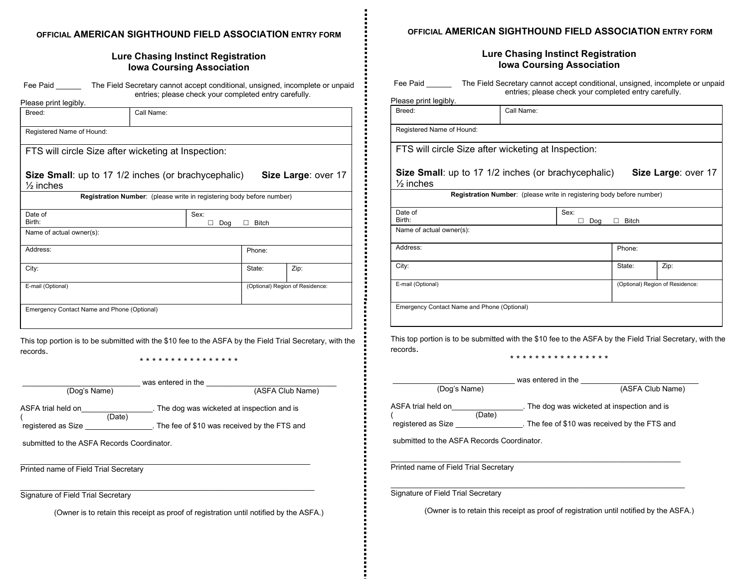### OFFICIAL AMERICAN SIGHTHOUND FIELD ASSOCIATION ENTRY FORM

### Lure Chasing Instinct Registration Iowa Coursing Association

| Fee Paid             | The Field Secretary cannot accept conditional, unsigned, incomplete or unpaid |
|----------------------|-------------------------------------------------------------------------------|
| Dlogge print logibly | entries; please check your completed entry carefully.                         |

| Please print legibly.                       |                                                                       |                  |              |                                 |
|---------------------------------------------|-----------------------------------------------------------------------|------------------|--------------|---------------------------------|
| Breed:                                      | Call Name:                                                            |                  |              |                                 |
| Registered Name of Hound:                   |                                                                       |                  |              |                                 |
|                                             | FTS will circle Size after wicketing at Inspection:                   |                  |              |                                 |
| $\frac{1}{2}$ inches                        | Size Small: up to 17 1/2 inches (or brachycephalic)                   |                  |              | Size Large: over 17             |
|                                             | Registration Number: (please write in registering body before number) |                  |              |                                 |
| Date of<br>Birth:                           |                                                                       | Sex:<br>Dog<br>п | <b>Bitch</b> |                                 |
| Name of actual owner(s):                    |                                                                       |                  |              |                                 |
| Address:                                    |                                                                       |                  | Phone:       |                                 |
| City:                                       |                                                                       |                  | State:       | Zip:                            |
| E-mail (Optional)                           |                                                                       |                  |              | (Optional) Region of Residence: |
| Emergency Contact Name and Phone (Optional) |                                                                       |                  |              |                                 |
|                                             |                                                                       |                  |              |                                 |

This top portion is to be submitted with the \$10 fee to the ASFA by the Field Trial Secretary, with the records.

E

\* \* \* \* \* \* \* \* \* \* \* \* \* \* \* \*

| (Dog's Name)                                       | was entered in the<br>(ASFA Club Name)                                                       |
|----------------------------------------------------|----------------------------------------------------------------------------------------------|
| ASFA trial held on<br>(Date)<br>registered as Size | . The dog was wicketed at inspection and is<br>. The fee of \$10 was received by the FTS and |
| submitted to the ASFA Records Coordinator.         |                                                                                              |
| Printed name of Field Trial Secretary              |                                                                                              |
| Signature of Field Trial Secretary                 |                                                                                              |
|                                                    | (Owner is to retain this receipt as proof of registration until notified by the ASFA.)       |

OFFICIAL AMERICAN SIGHTHOUND FIELD ASSOCIATION ENTRY FORM

### Lure Chasing Instinct Registration Iowa Coursing Association

| Fee Paid<br>The Field Secretary cannot accept conditional, unsigned, incomplete or unpaid<br>entries; please check your completed entry carefully. |                                                                       |      |              |                                 |
|----------------------------------------------------------------------------------------------------------------------------------------------------|-----------------------------------------------------------------------|------|--------------|---------------------------------|
| Please print legibly.                                                                                                                              |                                                                       |      |              |                                 |
| Breed:                                                                                                                                             | Call Name:                                                            |      |              |                                 |
|                                                                                                                                                    |                                                                       |      |              |                                 |
| Registered Name of Hound:                                                                                                                          |                                                                       |      |              |                                 |
| FTS will circle Size after wicketing at Inspection:                                                                                                |                                                                       |      |              |                                 |
|                                                                                                                                                    |                                                                       |      |              |                                 |
| Size Small: up to 17 1/2 inches (or brachycephalic)<br>Size Large: over 17                                                                         |                                                                       |      |              |                                 |
| $\frac{1}{2}$ inches                                                                                                                               |                                                                       |      |              |                                 |
|                                                                                                                                                    | Registration Number: (please write in registering body before number) |      |              |                                 |
| Date of                                                                                                                                            |                                                                       | Sex: |              |                                 |
| Birth:                                                                                                                                             |                                                                       | Doa  | <b>Bitch</b> |                                 |
| Name of actual owner(s):                                                                                                                           |                                                                       |      |              |                                 |
| Address:                                                                                                                                           |                                                                       |      | Phone:       |                                 |
| City:                                                                                                                                              |                                                                       |      | State:       | Zip:                            |
| E-mail (Optional)                                                                                                                                  |                                                                       |      |              | (Optional) Region of Residence: |
|                                                                                                                                                    |                                                                       |      |              |                                 |
| Emergency Contact Name and Phone (Optional)                                                                                                        |                                                                       |      |              |                                 |
|                                                                                                                                                    |                                                                       |      |              |                                 |
|                                                                                                                                                    |                                                                       |      |              |                                 |

This top portion is to be submitted with the \$10 fee to the ASFA by the Field Trial Secretary, with the records.

\* \* \* \* \* \* \* \* \* \* \* \* \* \* \* \*

|                                           | was entered in the                            |  |  |  |
|-------------------------------------------|-----------------------------------------------|--|--|--|
| (Dog's Name)                              | (ASFA Club Name)                              |  |  |  |
| ASFA trial held on<br>(Date)              | . The dog was wicketed at inspection and is   |  |  |  |
| registered as Size                        | . The fee of \$10 was received by the FTS and |  |  |  |
| submitted to the ASEA Records Coordinator |                                               |  |  |  |
| Printed name of Field Trial Secretary     |                                               |  |  |  |
|                                           |                                               |  |  |  |
| Signature of Field Trial Secretary        |                                               |  |  |  |

(Owner is to retain this receipt as proof of registration until notified by the ASFA.)